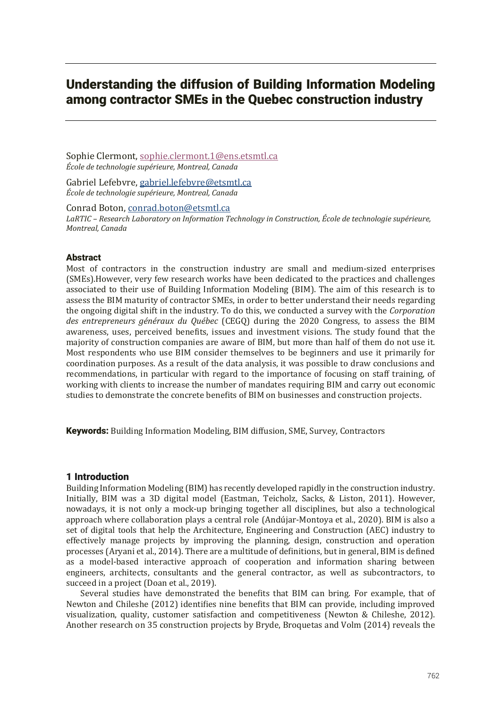# Understanding the diffusion of Building Information Modeling among contractor SMEs in the Quebec construction industry

Sophie Clermont, sophie.clermont.1@ens.etsmtl.ca *École de technologie supérieure, Montreal, Canada*

Gabriel Lefebvre, gabriel.lefebvre@etsmtl.ca *École de technologie supérieure, Montreal, Canada*

Conrad Boton, conrad.boton@etsmtl.ca LaRTIC – Research Laboratory on Information Technology in Construction, École de technologie supérieure, *Montreal, Canada*

#### Abstract

Most of contractors in the construction industry are small and medium-sized enterprises (SMEs). However, very few research works have been dedicated to the practices and challenges associated to their use of Building Information Modeling (BIM). The aim of this research is to assess the BIM maturity of contractor SMEs, in order to better understand their needs regarding the ongoing digital shift in the industry. To do this, we conducted a survey with the *Corporation des entrepreneurs généraux du Québec* (CEGQ) during the 2020 Congress, to assess the BIM awareness, uses, perceived benefits, issues and investment visions. The study found that the majority of construction companies are aware of BIM, but more than half of them do not use it. Most respondents who use BIM consider themselves to be beginners and use it primarily for coordination purposes. As a result of the data analysis, it was possible to draw conclusions and recommendations, in particular with regard to the importance of focusing on staff training, of working with clients to increase the number of mandates requiring BIM and carry out economic studies to demonstrate the concrete benefits of BIM on businesses and construction projects.

**Keywords:** Building Information Modeling, BIM diffusion, SME, Survey, Contractors

## 1 Introduction

Building Information Modeling (BIM) has recently developed rapidly in the construction industry. Initially, BIM was a 3D digital model (Eastman, Teicholz, Sacks, & Liston, 2011). However, nowadays, it is not only a mock-up bringing together all disciplines, but also a technological approach where collaboration plays a central role (Andújar-Montoya et al., 2020). BIM is also a set of digital tools that help the Architecture, Engineering and Construction (AEC) industry to effectively manage projects by improving the planning, design, construction and operation processes (Aryani et al., 2014). There are a multitude of definitions, but in general, BIM is defined as a model-based interactive approach of cooperation and information sharing between engineers, architects, consultants and the general contractor, as well as subcontractors, to succeed in a project (Doan et al., 2019).

Several studies have demonstrated the benefits that BIM can bring. For example, that of Newton and Chileshe (2012) identifies nine benefits that BIM can provide, including improved visualization, quality, customer satisfaction and competitiveness (Newton & Chileshe, 2012). Another research on 35 construction projects by Bryde, Broquetas and Volm (2014) reveals the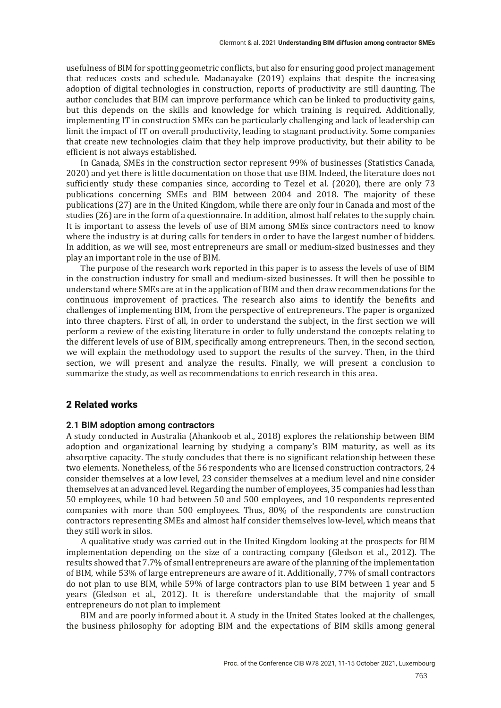usefulness of BIM for spotting geometric conflicts, but also for ensuring good project management that reduces costs and schedule. Madanayake (2019) explains that despite the increasing adoption of digital technologies in construction, reports of productivity are still daunting. The author concludes that BIM can improve performance which can be linked to productivity gains, but this depends on the skills and knowledge for which training is required. Additionally, implementing IT in construction SMEs can be particularly challenging and lack of leadership can limit the impact of IT on overall productivity, leading to stagnant productivity. Some companies that create new technologies claim that they help improve productivity, but their ability to be efficient is not always established.

In Canada, SMEs in the construction sector represent 99% of businesses (Statistics Canada, 2020) and yet there is little documentation on those that use BIM. Indeed, the literature does not sufficiently study these companies since, according to Tezel et al. (2020), there are only 73 publications concerning SMEs and BIM between 2004 and 2018. The majority of these publications (27) are in the United Kingdom, while there are only four in Canada and most of the studies (26) are in the form of a questionnaire. In addition, almost half relates to the supply chain. It is important to assess the levels of use of BIM among SMEs since contractors need to know where the industry is at during calls for tenders in order to have the largest number of bidders. In addition, as we will see, most entrepreneurs are small or medium-sized businesses and they play an important role in the use of BIM.

The purpose of the research work reported in this paper is to assess the levels of use of BIM in the construction industry for small and medium-sized businesses. It will then be possible to understand where SMEs are at in the application of BIM and then draw recommendations for the continuous improvement of practices. The research also aims to identify the benefits and challenges of implementing BIM, from the perspective of entrepreneurs. The paper is organized into three chapters. First of all, in order to understand the subject, in the first section we will perform a review of the existing literature in order to fully understand the concepts relating to the different levels of use of BIM, specifically among entrepreneurs. Then, in the second section, we will explain the methodology used to support the results of the survey. Then, in the third section, we will present and analyze the results. Finally, we will present a conclusion to summarize the study, as well as recommendations to enrich research in this area.

## 2 Related works

#### **2.1 BIM adoption among contractors**

A study conducted in Australia (Ahankoob et al., 2018) explores the relationship between BIM adoption and organizational learning by studying a company's BIM maturity, as well as its absorptive capacity. The study concludes that there is no significant relationship between these two elements. Nonetheless, of the 56 respondents who are licensed construction contractors, 24 consider themselves at a low level, 23 consider themselves at a medium level and nine consider themselves at an advanced level. Regarding the number of employees, 35 companies had less than 50 employees, while 10 had between 50 and 500 employees, and 10 respondents represented companies with more than 500 employees. Thus, 80% of the respondents are construction contractors representing SMEs and almost half consider themselves low-level, which means that they still work in silos.

A qualitative study was carried out in the United Kingdom looking at the prospects for BIM implementation depending on the size of a contracting company (Gledson et al., 2012). The results showed that 7.7% of small entrepreneurs are aware of the planning of the implementation of BIM, while 53% of large entrepreneurs are aware of it. Additionally, 77% of small contractors do not plan to use BIM, while 59% of large contractors plan to use BIM between 1 year and 5 years (Gledson et al., 2012). It is therefore understandable that the majority of small entrepreneurs do not plan to implement

BIM and are poorly informed about it. A study in the United States looked at the challenges, the business philosophy for adopting BIM and the expectations of BIM skills among general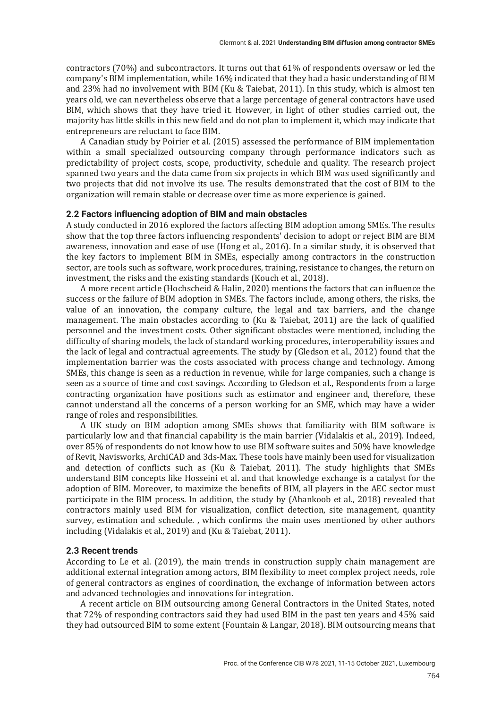contractors  $(70%)$  and subcontractors. It turns out that  $61%$  of respondents oversaw or led the company's BIM implementation, while 16% indicated that they had a basic understanding of BIM and  $23\%$  had no involvement with BIM (Ku & Taiebat, 2011). In this study, which is almost ten years old, we can nevertheless observe that a large percentage of general contractors have used BIM, which shows that they have tried it. However, in light of other studies carried out, the majority has little skills in this new field and do not plan to implement it, which may indicate that entrepreneurs are reluctant to face BIM.

A Canadian study by Poirier et al. (2015) assessed the performance of BIM implementation within a small specialized outsourcing company through performance indicators such as predictability of project costs, scope, productivity, schedule and quality. The research project spanned two years and the data came from six projects in which BIM was used significantly and two projects that did not involve its use. The results demonstrated that the cost of BIM to the organization will remain stable or decrease over time as more experience is gained.

#### **2.2 Factors influencing adoption of BIM and main obstacles**

A study conducted in 2016 explored the factors affecting BIM adoption among SMEs. The results show that the top three factors influencing respondents' decision to adopt or reject BIM are BIM awareness, innovation and ease of use (Hong et al., 2016). In a similar study, it is observed that the key factors to implement BIM in SMEs, especially among contractors in the construction sector, are tools such as software, work procedures, training, resistance to changes, the return on investment, the risks and the existing standards (Kouch et al., 2018).

A more recent article (Hochscheid & Halin, 2020) mentions the factors that can influence the success or the failure of BIM adoption in SMEs. The factors include, among others, the risks, the value of an innovation, the company culture, the legal and tax barriers, and the change management. The main obstacles according to (Ku & Taiebat, 2011) are the lack of qualified personnel and the investment costs. Other significant obstacles were mentioned, including the difficulty of sharing models, the lack of standard working procedures, interoperability issues and the lack of legal and contractual agreements. The study by (Gledson et al., 2012) found that the implementation barrier was the costs associated with process change and technology. Among SMEs, this change is seen as a reduction in revenue, while for large companies, such a change is seen as a source of time and cost savings. According to Gledson et al., Respondents from a large contracting organization have positions such as estimator and engineer and, therefore, these cannot understand all the concerns of a person working for an SME, which may have a wider range of roles and responsibilities.

A UK study on BIM adoption among SMEs shows that familiarity with BIM software is particularly low and that financial capability is the main barrier (Vidalakis et al., 2019). Indeed, over 85% of respondents do not know how to use BIM software suites and 50% have knowledge of Revit, Navisworks, ArchiCAD and 3ds-Max. These tools have mainly been used for visualization and detection of conflicts such as (Ku & Taiebat, 2011). The study highlights that SMEs understand BIM concepts like Hosseini et al. and that knowledge exchange is a catalyst for the adoption of BIM. Moreover, to maximize the benefits of BIM, all players in the AEC sector must participate in the BIM process. In addition, the study by (Ahankoob et al., 2018) revealed that contractors mainly used BIM for visualization, conflict detection, site management, quantity survey, estimation and schedule. , which confirms the main uses mentioned by other authors including (Vidalakis et al., 2019) and (Ku & Taiebat, 2011).

#### **2.3 Recent trends**

According to Le et al.  $(2019)$ , the main trends in construction supply chain management are additional external integration among actors, BIM flexibility to meet complex project needs, role of general contractors as engines of coordination, the exchange of information between actors and advanced technologies and innovations for integration.

A recent article on BIM outsourcing among General Contractors in the United States, noted that 72% of responding contractors said they had used BIM in the past ten years and 45% said they had outsourced BIM to some extent (Fountain & Langar, 2018). BIM outsourcing means that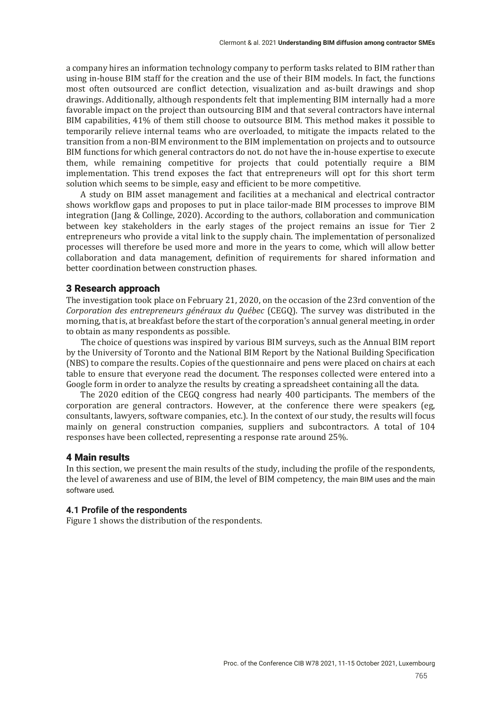a company hires an information technology company to perform tasks related to BIM rather than using in-house BIM staff for the creation and the use of their BIM models. In fact, the functions most often outsourced are conflict detection, visualization and as-built drawings and shop drawings. Additionally, although respondents felt that implementing BIM internally had a more favorable impact on the project than outsourcing BIM and that several contractors have internal BIM capabilities, 41% of them still choose to outsource BIM. This method makes it possible to temporarily relieve internal teams who are overloaded, to mitigate the impacts related to the transition from a non-BIM environment to the BIM implementation on projects and to outsource BIM functions for which general contractors do not. do not have the in-house expertise to execute them, while remaining competitive for projects that could potentially require a BIM implementation. This trend exposes the fact that entrepreneurs will opt for this short term solution which seems to be simple, easy and efficient to be more competitive.

A study on BIM asset management and facilities at a mechanical and electrical contractor shows workflow gaps and proposes to put in place tailor-made BIM processes to improve BIM integration (Jang & Collinge, 2020). According to the authors, collaboration and communication between key stakeholders in the early stages of the project remains an issue for Tier 2 entrepreneurs who provide a vital link to the supply chain. The implementation of personalized processes will therefore be used more and more in the years to come, which will allow better collaboration and data management, definition of requirements for shared information and better coordination between construction phases.

#### 3 Research approach

The investigation took place on February 21, 2020, on the occasion of the 23rd convention of the *Corporation des entrepreneurs généraux du Québec* (CEGQ). The survey was distributed in the morning, that is, at breakfast before the start of the corporation's annual general meeting, in order to obtain as many respondents as possible.

The choice of questions was inspired by various BIM surveys, such as the Annual BIM report by the University of Toronto and the National BIM Report by the National Building Specification (NBS) to compare the results. Copies of the questionnaire and pens were placed on chairs at each table to ensure that everyone read the document. The responses collected were entered into a Google form in order to analyze the results by creating a spreadsheet containing all the data.

The 2020 edition of the CEGQ congress had nearly 400 participants. The members of the corporation are general contractors. However, at the conference there were speakers (eg, consultants, lawyers, software companies, etc.). In the context of our study, the results will focus mainly on general construction companies, suppliers and subcontractors. A total of 104 responses have been collected, representing a response rate around 25%.

#### 4 Main results

In this section, we present the main results of the study, including the profile of the respondents, the level of awareness and use of BIM, the level of BIM competency, the main BIM uses and the main software used.

#### **4.1 Profile of the respondents**

Figure 1 shows the distribution of the respondents.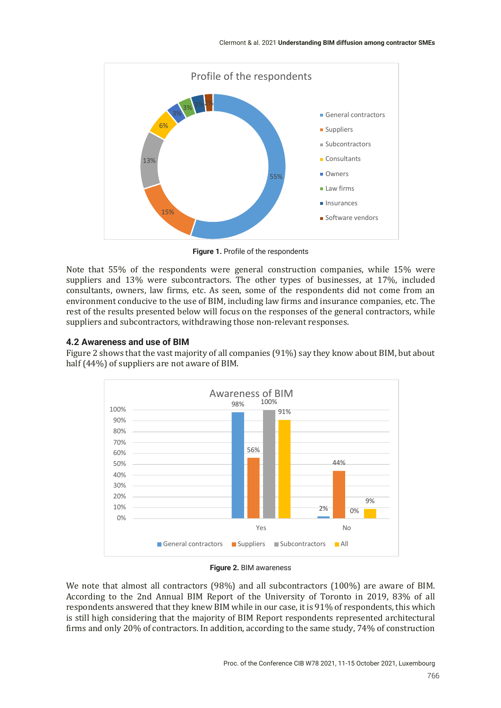

**Figure 1.** Profile of the respondents

Note that 55% of the respondents were general construction companies, while 15% were suppliers and 13% were subcontractors. The other types of businesses, at 17%, included consultants, owners, law firms, etc. As seen, some of the respondents did not come from an environment conducive to the use of BIM, including law firms and insurance companies, etc. The rest of the results presented below will focus on the responses of the general contractors, while suppliers and subcontractors, withdrawing those non-relevant responses.

## **4.2 Awareness and use of BIM**

Figure 2 shows that the vast majority of all companies (91%) say they know about BIM, but about half  $(44%)$  of suppliers are not aware of BIM.



**Figure 2.** BIM awareness

We note that almost all contractors (98%) and all subcontractors (100%) are aware of BIM. According to the 2nd Annual BIM Report of the University of Toronto in 2019, 83% of all respondents answered that they knew BIM while in our case, it is 91% of respondents, this which is still high considering that the majority of BIM Report respondents represented architectural firms and only 20% of contractors. In addition, according to the same study, 74% of construction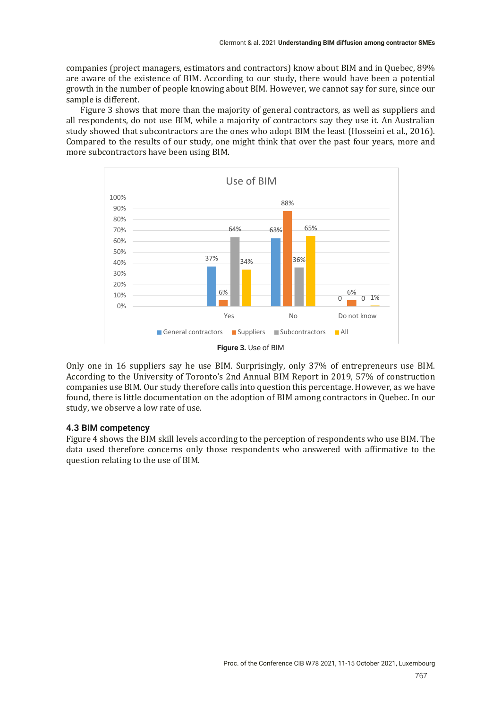companies (project managers, estimators and contractors) know about BIM and in Quebec, 89% are aware of the existence of BIM. According to our study, there would have been a potential growth in the number of people knowing about BIM. However, we cannot say for sure, since our sample is different.

Figure 3 shows that more than the majority of general contractors, as well as suppliers and all respondents, do not use BIM, while a majority of contractors say they use it. An Australian study showed that subcontractors are the ones who adopt BIM the least (Hosseini et al., 2016). Compared to the results of our study, one might think that over the past four years, more and more subcontractors have been using BIM.



Only one in 16 suppliers say he use BIM. Surprisingly, only 37% of entrepreneurs use BIM. According to the University of Toronto's 2nd Annual BIM Report in 2019, 57% of construction companies use BIM. Our study therefore calls into question this percentage. However, as we have found, there is little documentation on the adoption of BIM among contractors in Quebec. In our study, we observe a low rate of use.

## **4.3 BIM competency**

Figure 4 shows the BIM skill levels according to the perception of respondents who use BIM. The data used therefore concerns only those respondents who answered with affirmative to the question relating to the use of BIM.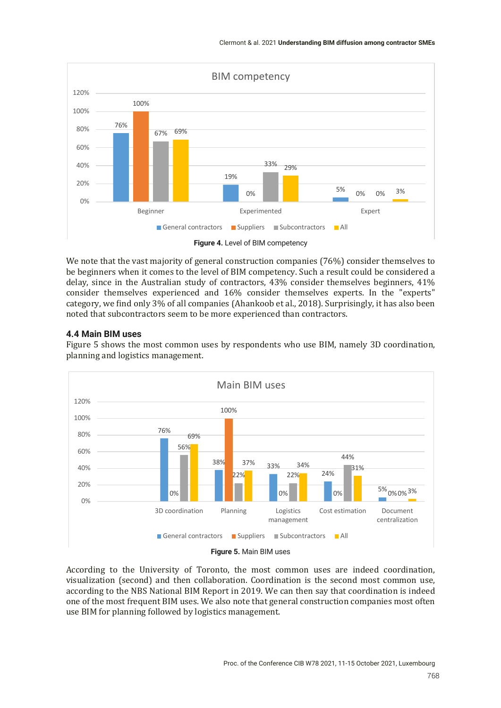

We note that the vast majority of general construction companies  $(76%)$  consider themselves to be beginners when it comes to the level of BIM competency. Such a result could be considered a delay, since in the Australian study of contractors,  $43%$  consider themselves beginners,  $41%$ consider themselves experienced and 16% consider themselves experts. In the "experts" category, we find only 3% of all companies (Ahankoob et al., 2018). Surprisingly, it has also been noted that subcontractors seem to be more experienced than contractors.

## **4.4 Main BIM uses**

Figure 5 shows the most common uses by respondents who use BIM, namely 3D coordination, planning and logistics management.



According to the University of Toronto, the most common uses are indeed coordination, visualization (second) and then collaboration. Coordination is the second most common use, according to the NBS National BIM Report in 2019. We can then say that coordination is indeed one of the most frequent BIM uses. We also note that general construction companies most often use BIM for planning followed by logistics management.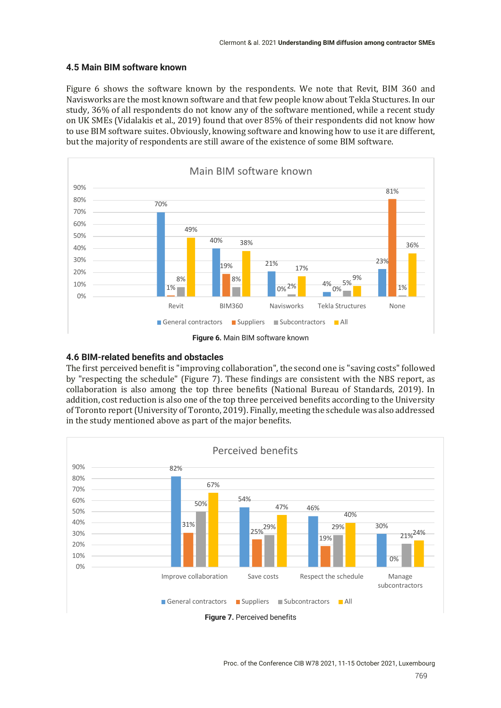## **4.5 Main BIM software known**

Figure 6 shows the software known by the respondents. We note that Revit, BIM 360 and Navisworks are the most known software and that few people know about Tekla Stuctures. In our study, 36% of all respondents do not know any of the software mentioned, while a recent study on UK SMEs (Vidalakis et al., 2019) found that over 85% of their respondents did not know how to use BIM software suites. Obviously, knowing software and knowing how to use it are different, but the majority of respondents are still aware of the existence of some BIM software.



## **4.6 BIM-related benefits and obstacles**

The first perceived benefit is "improving collaboration", the second one is "saving costs" followed by "respecting the schedule" (Figure 7). These findings are consistent with the NBS report, as collaboration is also among the top three benefits (National Bureau of Standards, 2019). In addition, cost reduction is also one of the top three perceived benefits according to the University of Toronto report (University of Toronto, 2019). Finally, meeting the schedule was also addressed in the study mentioned above as part of the major benefits.



**Figure 7.** Perceived benefits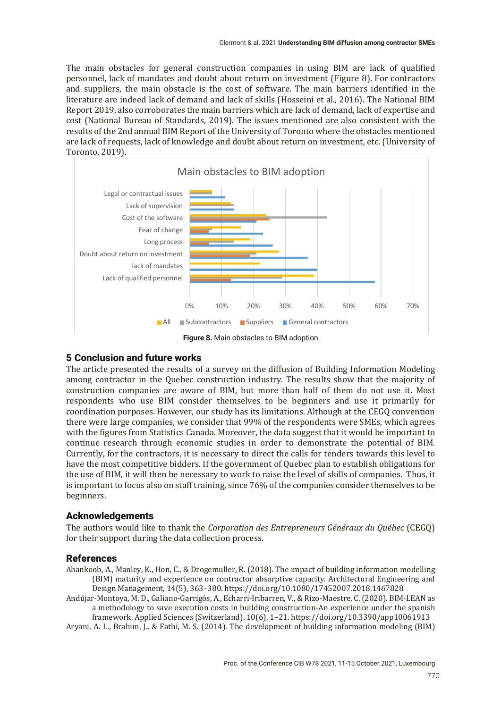The main obstacles for general construction companies in using BIM are lack of qualified personnel, lack of mandates and doubt about return on investment (Figure 8). For contractors and suppliers, the main obstacle is the cost of software. The main barriers identified in the literature are indeed lack of demand and lack of skills (Hosseini et al., 2016). The National BIM Report 2019, also corroborates the main barriers which are lack of demand, lack of expertise and cost (National Bureau of Standards, 2019). The issues mentioned are also consistent with the results of the 2nd annual BIM Report of the University of Toronto where the obstacles mentioned are lack of requests, lack of knowledge and doubt about return on investment, etc. (University of Toronto, 2019). 



**Figure 8.** Main obstacles to BIM adoption

# 5 Conclusion and future works

The article presented the results of a survey on the diffusion of Building Information Modeling among contractor in the Quebec construction industry. The results show that the majority of construction companies are aware of BIM, but more than half of them do not use it. Most respondents who use BIM consider themselves to be beginners and use it primarily for coordination purposes. However, our study has its limitations. Although at the CEGQ convention there were large companies, we consider that 99% of the respondents were SMEs, which agrees with the figures from Statistics Canada. Moreover, the data suggest that it would be important to continue research through economic studies in order to demonstrate the potential of BIM. Currently, for the contractors, it is necessary to direct the calls for tenders towards this level to have the most competitive bidders. If the government of Quebec plan to establish obligations for the use of BIM, it will then be necessary to work to raise the level of skills of companies. Thus, it is important to focus also on staff training, since 76% of the companies consider themselves to be beginners.

# Acknowledgements

The authors would like to thank the *Corporation des Entrepreneurs Généraux du Québec* (CEGQ) for their support during the data collection process.

## References

Ahankoob, A., Manley, K., Hon, C., & Drogemuller, R. (2018). The impact of building information modelling (BIM) maturity and experience on contractor absorptive capacity. Architectural Engineering and Design Management, 14(5), 363–380. https://doi.org/10.1080/17452007.2018.1467828

Andújar-Montoya, M. D., Galiano-Garrigós, A., Echarri-Iribarren, V., & Rizo-Maestre, C. (2020). BIM-LEAN as a methodology to save execution costs in building construction-An experience under the spanish framework. Applied Sciences (Switzerland), 10(6), 1–21. https://doi.org/10.3390/app10061913

Aryani, A. L., Brahim, J., & Fathi, M. S. (2014). The development of building information modeling (BIM)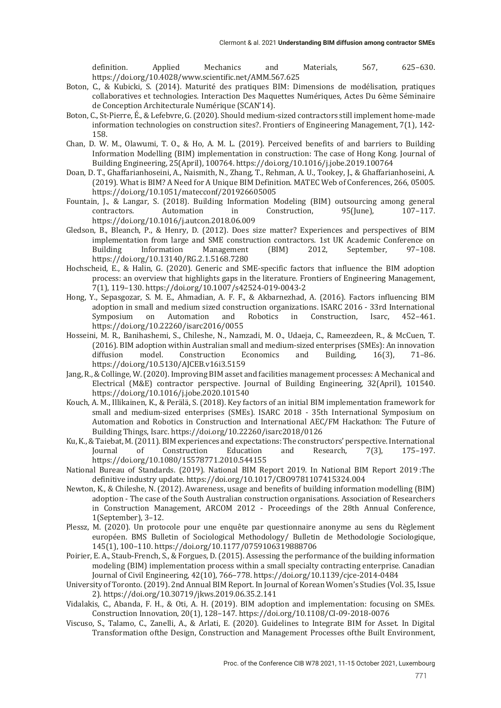definition. Applied Mechanics and Materials, 567, 625–630. https://doi.org/10.4028/www.scientific.net/AMM.567.625

- Boton, C., & Kubicki, S. (2014). Maturité des pratiques BIM: Dimensions de modélisation, pratiques collaboratives et technologies. Interaction Des Maquettes Numériques, Actes Du 6ème Séminaire de Conception Architecturale Numérique (SCAN'14).
- Boton, C., St-Pierre, É., & Lefebvre, G. (2020). Should medium-sized contractors still implement home-made information technologies on construction sites?. Frontiers of Engineering Management,  $7(1)$ , 142-158.
- Chan, D. W. M., Olawumi, T. O., & Ho, A. M. L. (2019). Perceived benefits of and barriers to Building Information Modelling (BIM) implementation in construction: The case of Hong Kong. Journal of Building Engineering, 25(April), 100764. https://doi.org/10.1016/j.jobe.2019.100764
- Doan, D. T., Ghaffarianhoseini, A., Naismith, N., Zhang, T., Rehman, A. U., Tookey, J., & Ghaffarianhoseini, A. (2019). What is BIM? A Need for A Unique BIM Definition. MATEC Web of Conferences, 266, 05005. https://doi.org/10.1051/matecconf/201926605005
- Fountain, J., & Langar, S. (2018). Building Information Modeling (BIM) outsourcing among general contractors. Automation in Construction, 95(June), 107-117. https://doi.org/10.1016/j.autcon.2018.06.009
- Gledson, B., Bleanch, P., & Henry, D. (2012). Does size matter? Experiences and perspectives of BIM implementation from large and SME construction contractors. 1st UK Academic Conference on Building Information Management (BIM) 2012, September, 97–108. https://doi.org/10.13140/RG.2.1.5168.7280
- Hochscheid, E., & Halin, G. (2020). Generic and SME-specific factors that influence the BIM adoption process: an overview that highlights gaps in the literature. Frontiers of Engineering Management, 7(1), 119-130. https://doi.org/10.1007/s42524-019-0043-2
- Hong, Y., Sepasgozar, S. M. E., Ahmadian, A. F. F., & Akbarnezhad, A. (2016). Factors influencing BIM adoption in small and medium sized construction organizations. ISARC 2016 - 33rd International Symposium on Automation and Robotics in Construction, Isarc, 452–461. https://doi.org/10.22260/isarc2016/0055
- Hosseini, M. R., Banihashemi, S., Chileshe, N., Namzadi, M. O., Udaeja, C., Rameezdeen, R., & McCuen, T. (2016). BIM adoption within Australian small and medium-sized enterprises (SMEs): An innovation diffusion model. Construction Economics and Building, 16(3), 71–86. https://doi.org/10.5130/AJCEB.v16i3.5159
- Jang, R., & Collinge, W. (2020). Improving BIM asset and facilities management processes: A Mechanical and Electrical (M&E) contractor perspective. Journal of Building Engineering, 32(April), 101540. https://doi.org/10.1016/j.jobe.2020.101540
- Kouch, A. M., Illikainen, K., & Perälä, S. (2018). Key factors of an initial BIM implementation framework for small and medium-sized enterprises (SMEs). ISARC 2018 - 35th International Symposium on Automation and Robotics in Construction and International AEC/FM Hackathon: The Future of Building Things, Isarc. https://doi.org/10.22260/isarc2018/0126
- Ku, K., & Taiebat, M. (2011). BIM experiences and expectations: The constructors' perspective. International Journal of Construction Education and Research, 7(3), 175–197. https://doi.org/10.1080/15578771.2010.544155
- National Bureau of Standards. (2019). National BIM Report 2019. In National BIM Report 2019 :The definitive industry update. https://doi.org/10.1017/CBO9781107415324.004
- Newton, K., & Chileshe, N. (2012). Awareness, usage and benefits of building information modelling (BIM) adoption - The case of the South Australian construction organisations. Association of Researchers in Construction Management, ARCOM 2012 - Proceedings of the 28th Annual Conference, 1(September), 3–12.
- Plessz, M. (2020). Un protocole pour une enquête par questionnaire anonyme au sens du Règlement européen. BMS Bulletin of Sociological Methodology/ Bulletin de Methodologie Sociologique, 145(1), 100-110. https://doi.org/10.1177/0759106319888706
- Poirier, E. A., Staub-French, S., & Forgues, D. (2015). Assessing the performance of the building information modeling (BIM) implementation process within a small specialty contracting enterprise. Canadian Journal of Civil Engineering,  $42(10)$ ,  $766-778$ . https://doi.org/10.1139/cjce-2014-0484
- University of Toronto. (2019). 2nd Annual BIM Report. In Journal of Korean Women's Studies (Vol. 35, Issue 2). https://doi.org/10.30719/jkws.2019.06.35.2.141
- Vidalakis, C., Abanda, F. H., & Oti, A. H. (2019). BIM adoption and implementation: focusing on SMEs. Construction Innovation, 20(1), 128-147. https://doi.org/10.1108/CI-09-2018-0076
- Viscuso, S., Talamo, C., Zanelli, A., & Arlati, E. (2020). Guidelines to Integrate BIM for Asset. In Digital Transformation ofthe Design, Construction and Management Processes ofthe Built Environment,